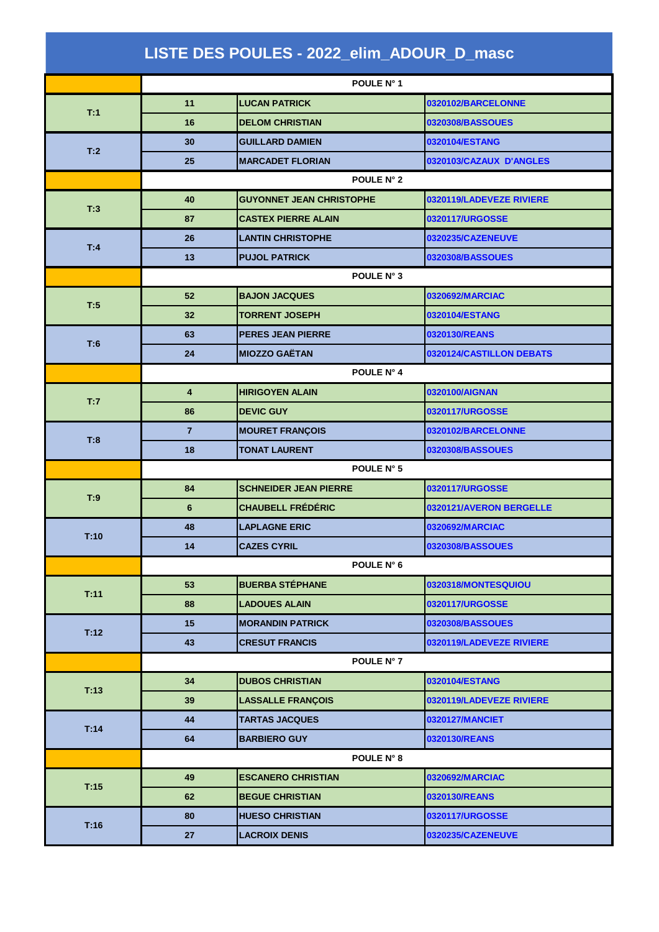| LISTE DES POULES - 2022_elim_ADOUR_D_masc |                         |                                 |                          |  |  |
|-------------------------------------------|-------------------------|---------------------------------|--------------------------|--|--|
|                                           | POULE N° 1              |                                 |                          |  |  |
| T:1                                       | 11                      | <b>LUCAN PATRICK</b>            | 0320102/BARCELONNE       |  |  |
|                                           | 16                      | <b>DELOM CHRISTIAN</b>          | 0320308/BASSOUES         |  |  |
| T:2                                       | 30                      | <b>GUILLARD DAMIEN</b>          | 0320104/ESTANG           |  |  |
|                                           | 25                      | <b>MARCADET FLORIAN</b>         | 0320103/CAZAUX D'ANGLES  |  |  |
|                                           | POULE N° 2              |                                 |                          |  |  |
| T:3                                       | 40                      | <b>GUYONNET JEAN CHRISTOPHE</b> | 0320119/LADEVEZE RIVIERE |  |  |
|                                           | 87                      | <b>CASTEX PIERRE ALAIN</b>      | 0320117/URGOSSE          |  |  |
|                                           | 26                      | <b>LANTIN CHRISTOPHE</b>        | 0320235/CAZENEUVE        |  |  |
| T:4                                       | 13                      | <b>PUJOL PATRICK</b>            | 0320308/BASSOUES         |  |  |
|                                           | POULE N° 3              |                                 |                          |  |  |
|                                           | 52                      | <b>BAJON JACQUES</b>            | 0320692/MARCIAC          |  |  |
| T:5                                       | 32                      | <b>TORRENT JOSEPH</b>           | 0320104/ESTANG           |  |  |
|                                           | 63                      | <b>PERES JEAN PIERRE</b>        | 0320130/REANS            |  |  |
| T:6                                       | 24                      | <b>MIOZZO GAËTAN</b>            | 0320124/CASTILLON DEBATS |  |  |
|                                           | POULE N° 4              |                                 |                          |  |  |
|                                           | $\overline{\mathbf{4}}$ | <b>HIRIGOYEN ALAIN</b>          | 0320100/AIGNAN           |  |  |
| T:7                                       | 86                      | <b>DEVIC GUY</b>                | 0320117/URGOSSE          |  |  |
|                                           | $\overline{7}$          | <b>MOURET FRANÇOIS</b>          | 0320102/BARCELONNE       |  |  |
| T:8                                       | 18                      | <b>TONAT LAURENT</b>            | 0320308/BASSOUES         |  |  |
|                                           | POULE N° 5              |                                 |                          |  |  |
| T:9                                       | 84                      | <b>SCHNEIDER JEAN PIERRE</b>    | 0320117/URGOSSE          |  |  |
|                                           | 6                       | <b>CHAUBELL FRÉDÉRIC</b>        | 0320121/AVERON BERGELLE  |  |  |
| T:10                                      | 48                      | <b>LAPLAGNE ERIC</b>            | 0320692/MARCIAC          |  |  |
|                                           | 14                      | <b>CAZES CYRIL</b>              | 0320308/BASSOUES         |  |  |
|                                           |                         | POULE N° 6                      |                          |  |  |
|                                           | 53                      | <b>BUERBA STÉPHANE</b>          | 0320318/MONTESQUIOU      |  |  |
| T:11                                      | 88                      | <b>LADOUES ALAIN</b>            | 0320117/URGOSSE          |  |  |
|                                           | 15                      | <b>MORANDIN PATRICK</b>         | 0320308/BASSOUES         |  |  |
| T:12                                      | 43                      | <b>CRESUT FRANCIS</b>           | 0320119/LADEVEZE RIVIERE |  |  |
|                                           |                         | POULE N° 7                      |                          |  |  |
|                                           | 34                      | <b>DUBOS CHRISTIAN</b>          | 0320104/ESTANG           |  |  |
| T:13                                      | 39                      | <b>LASSALLE FRANÇOIS</b>        | 0320119/LADEVEZE RIVIERE |  |  |
|                                           | 44                      | <b>TARTAS JACQUES</b>           | 0320127/MANCIET          |  |  |
| T:14                                      | 64                      | <b>BARBIERO GUY</b>             | 0320130/REANS            |  |  |
|                                           |                         | POULE N° 8                      |                          |  |  |
| T:15                                      | 49                      | <b>ESCANERO CHRISTIAN</b>       | 0320692/MARCIAC          |  |  |
|                                           | 62                      | <b>BEGUE CHRISTIAN</b>          | 0320130/REANS            |  |  |
| T:16                                      | 80                      | <b>HUESO CHRISTIAN</b>          | 0320117/URGOSSE          |  |  |
|                                           | 27                      | <b>LACROIX DENIS</b>            | 0320235/CAZENEUVE        |  |  |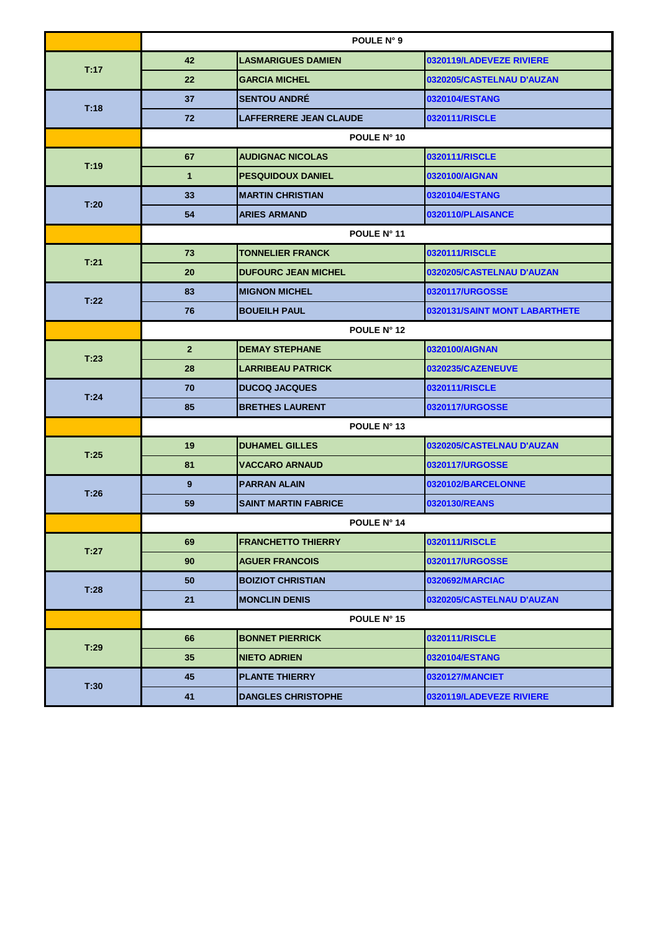|      | POULE N° 9     |                               |                               |  |
|------|----------------|-------------------------------|-------------------------------|--|
| T:17 | 42             | <b>LASMARIGUES DAMIEN</b>     | 0320119/LADEVEZE RIVIERE      |  |
|      | 22             | <b>GARCIA MICHEL</b>          | 0320205/CASTELNAU D'AUZAN     |  |
|      | 37             | <b>SENTOU ANDRÉ</b>           | 0320104/ESTANG                |  |
| T:18 | 72             | <b>LAFFERRERE JEAN CLAUDE</b> | 0320111/RISCLE                |  |
|      |                | POULE N° 10                   |                               |  |
| T:19 | 67             | <b>AUDIGNAC NICOLAS</b>       | 0320111/RISCLE                |  |
|      | $\mathbf{1}$   | <b>PESQUIDOUX DANIEL</b>      | 0320100/AIGNAN                |  |
| T:20 | 33             | <b>MARTIN CHRISTIAN</b>       | 0320104/ESTANG                |  |
|      | 54             | <b>ARIES ARMAND</b>           | 0320110/PLAISANCE             |  |
|      | POULE N° 11    |                               |                               |  |
| T:21 | 73             | <b>TONNELIER FRANCK</b>       | 0320111/RISCLE                |  |
|      | 20             | <b>DUFOURC JEAN MICHEL</b>    | 0320205/CASTELNAU D'AUZAN     |  |
|      | 83             | <b>MIGNON MICHEL</b>          | 0320117/URGOSSE               |  |
| T:22 | 76             | <b>BOUEILH PAUL</b>           | 0320131/SAINT MONT LABARTHETE |  |
|      | POULE N° 12    |                               |                               |  |
| T:23 | 2 <sup>2</sup> | <b>DEMAY STEPHANE</b>         | 0320100/AIGNAN                |  |
|      | 28             | <b>LARRIBEAU PATRICK</b>      | 0320235/CAZENEUVE             |  |
| T:24 | 70             | <b>DUCOQ JACQUES</b>          | 0320111/RISCLE                |  |
|      | 85             | <b>BRETHES LAURENT</b>        | 0320117/URGOSSE               |  |
|      | POULE N° 13    |                               |                               |  |
| T:25 | 19             | <b>DUHAMEL GILLES</b>         | 0320205/CASTELNAU D'AUZAN     |  |
|      | 81             | <b>VACCARO ARNAUD</b>         | 0320117/URGOSSE               |  |
| T:26 | 9              | <b>PARRAN ALAIN</b>           | 0320102/BARCELONNE            |  |
|      | 59             | <b>SAINT MARTIN FABRICE</b>   | 0320130/REANS                 |  |
|      | POULE N° 14    |                               |                               |  |
|      | 69             | <b>FRANCHETTO THIERRY</b>     | 0320111/RISCLE                |  |
| T:27 | 90             | <b>AGUER FRANCOIS</b>         | 0320117/URGOSSE               |  |
| T:28 | 50             | <b>BOIZIOT CHRISTIAN</b>      | 0320692/MARCIAC               |  |
|      | 21             | <b>MONCLIN DENIS</b>          | 0320205/CASTELNAU D'AUZAN     |  |
|      | POULE N° 15    |                               |                               |  |
| T:29 | 66             | <b>BONNET PIERRICK</b>        | 0320111/RISCLE                |  |
|      | 35             | <b>NIETO ADRIEN</b>           | 0320104/ESTANG                |  |
| T:30 | 45             | <b>PLANTE THIERRY</b>         | 0320127/MANCIET               |  |
|      | 41             | <b>DANGLES CHRISTOPHE</b>     | 0320119/LADEVEZE RIVIERE      |  |